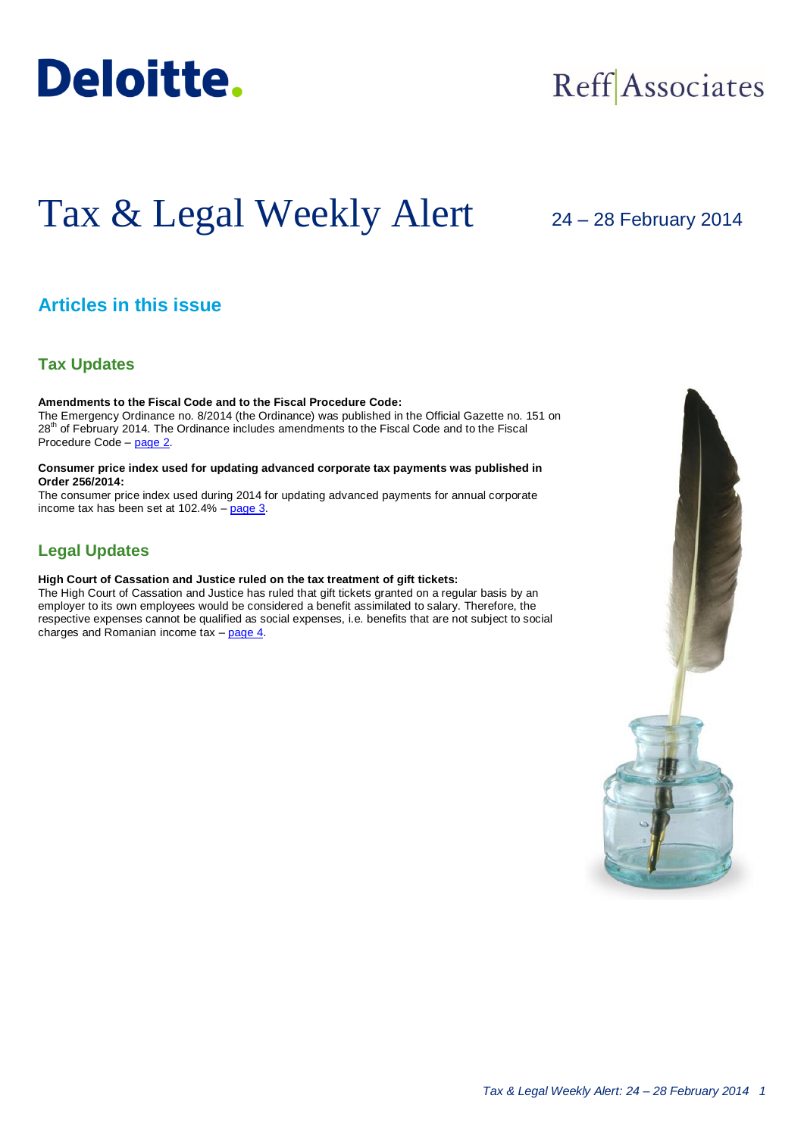

## Reff Associates

# Tax & Legal Weekly Alert

## 24 – 28 February 2014

## **Articles in this issue**

### **Tax Updates**

**Amendments to the Fiscal Code and to the Fiscal Procedure Code:** The Emergency Ordinance no. 8/2014 (the Ordinance) was published in the Official Gazette no. 151 on 28<sup>th</sup> of February 2014. The Ordinance includes amendments to the Fiscal Code and to the Fiscal Procedure Code – [page 2.](#page-1-0)

#### **Consumer price index used for updating advanced corporate tax payments was published in Order 256/2014:**

The consumer price index used during 2014 for updating advanced payments for annual corporate income tax has been set at 102.4% – [page 3.](#page-2-0)

## **Legal Updates**

**High Court of Cassation and Justice ruled on the tax treatment of gift tickets:**

The High Court of Cassation and Justice has ruled that gift tickets granted on a regular basis by an employer to its own employees would be considered a benefit assimilated to salary. Therefore, the respective expenses cannot be qualified as social expenses, i.e. benefits that are not subject to social charges and Romanian income tax – [page 4.](#page-3-0)

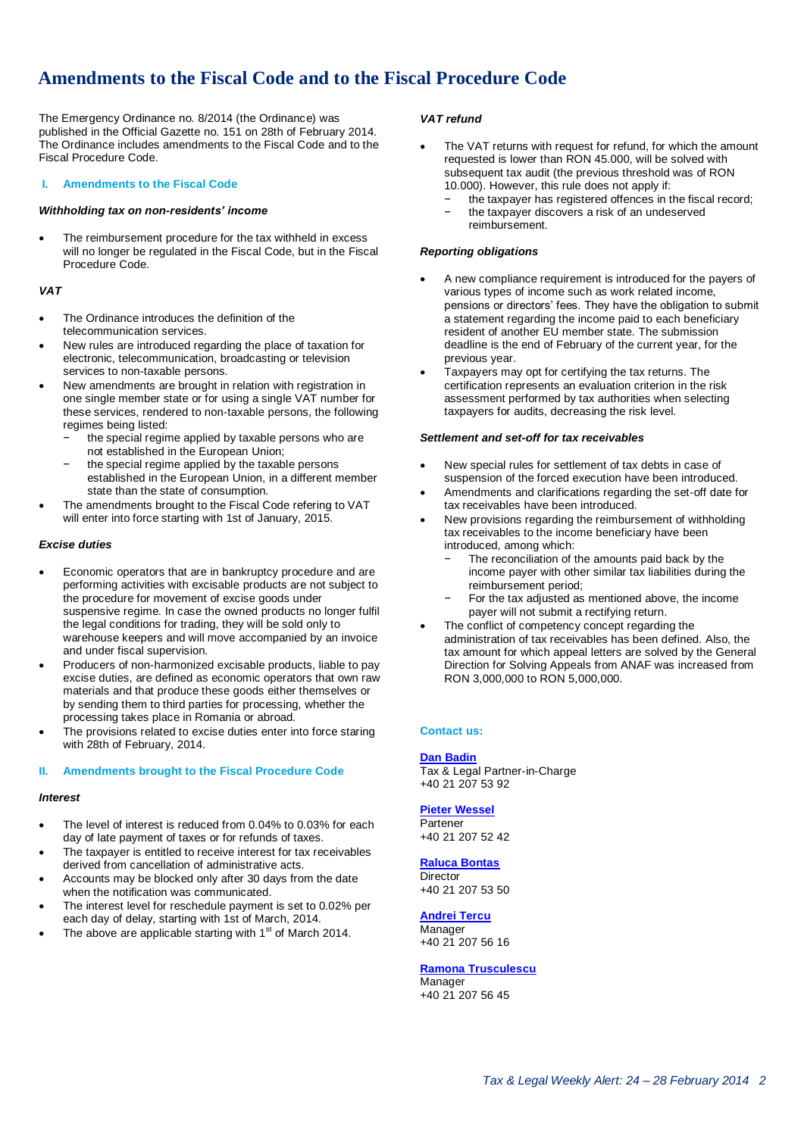## <span id="page-1-0"></span>**Amendments to the Fiscal Code and to the Fiscal Procedure Code**

The Emergency Ordinance no. 8/2014 (the Ordinance) was published in the Official Gazette no. 151 on 28th of February 2014. The Ordinance includes amendments to the Fiscal Code and to the Fiscal Procedure Code.

#### **I. Amendments to the Fiscal Code**

#### *Withholding tax on non-residents' income*

 The reimbursement procedure for the tax withheld in excess will no longer be regulated in the Fiscal Code, but in the Fiscal Procedure Code.

#### *VAT*

- The Ordinance introduces the definition of the telecommunication services.
- New rules are introduced regarding the place of taxation for electronic, telecommunication, broadcasting or television services to non-taxable persons.
- New amendments are brought in relation with registration in one single member state or for using a single VAT number for these services, rendered to non-taxable persons, the following regimes being listed:
	- the special regime applied by taxable persons who are not established in the European Union;
	- the special regime applied by the taxable persons established in the European Union, in a different member state than the state of consumption.
- The amendments brought to the Fiscal Code refering to VAT will enter into force starting with 1st of January, 2015.

#### *Excise duties*

- Economic operators that are in bankruptcy procedure and are performing activities with excisable products are not subject to the procedure for movement of excise goods under suspensive regime. In case the owned products no longer fulfil the legal conditions for trading, they will be sold only to warehouse keepers and will move accompanied by an invoice and under fiscal supervision.
- Producers of non-harmonized excisable products, liable to pay excise duties, are defined as economic operators that own raw materials and that produce these goods either themselves or by sending them to third parties for processing, whether the processing takes place in Romania or abroad.
- The provisions related to excise duties enter into force staring with 28th of February, 2014.

#### **II. Amendments brought to the Fiscal Procedure Code**

#### *Interest*

- The level of interest is reduced from 0.04% to 0.03% for each day of late payment of taxes or for refunds of taxes.
- The taxpayer is entitled to receive interest for tax receivables derived from cancellation of administrative acts.
- Accounts may be blocked only after 30 days from the date when the notification was communicated.
- The interest level for reschedule payment is set to 0.02% per each day of delay, starting with 1st of March, 2014.
- The above are applicable starting with 1<sup>st</sup> of March 2014.

#### *VAT refund*

- The VAT returns with request for refund, for which the amount requested is lower than RON 45.000, will be solved with subsequent tax audit (the previous threshold was of RON 10.000). However, this rule does not apply if:
	- the taxpayer has registered offences in the fiscal record; the taxpayer discovers a risk of an undeserved
	- reimbursement.

#### *Reporting obligations*

- A new compliance requirement is introduced for the payers of various types of income such as work related income, pensions or directors' fees. They have the obligation to submit a statement regarding the income paid to each beneficiary resident of another EU member state. The submission deadline is the end of February of the current year, for the previous year.
- Taxpayers may opt for certifying the tax returns. The certification represents an evaluation criterion in the risk assessment performed by tax authorities when selecting taxpayers for audits, decreasing the risk level.

#### *Settlement and set-off for tax receivables*

- New special rules for settlement of tax debts in case of suspension of the forced execution have been introduced.
- Amendments and clarifications regarding the set-off date for tax receivables have been introduced.
- New provisions regarding the reimbursement of withholding tax receivables to the income beneficiary have been introduced, among which:
	- The reconciliation of the amounts paid back by the income payer with other similar tax liabilities during the reimbursement period;
	- For the tax adjusted as mentioned above, the income payer will not submit a rectifying return.
- The conflict of competency concept regarding the administration of tax receivables has been defined. Also, the tax amount for which appeal letters are solved by the General Direction for Solving Appeals from ANAF was increased from RON 3,000,000 to RON 5,000,000.

#### **Contact us:**

#### **[Dan Badin](mailto:dbadin@deloittece.com)**

Tax & Legal Partner-in-Charge +40 21 207 53 92

#### **[Pieter Wessel](mailto:pwessel@deloittece.com)** Partener

+40 21 207 52 42

#### **[Raluca Bontas](mailto:rbontas@deloittece.com)**

**Director** +40 21 207 53 50

#### **[Andrei Tercu](mailto:atercu@deloittece.com)**

Manager +40 21 207 56 16

#### **[Ramona Trusculescu](mailto:rtrusculescu@deloittece.com) Manager**

+40 21 207 56 45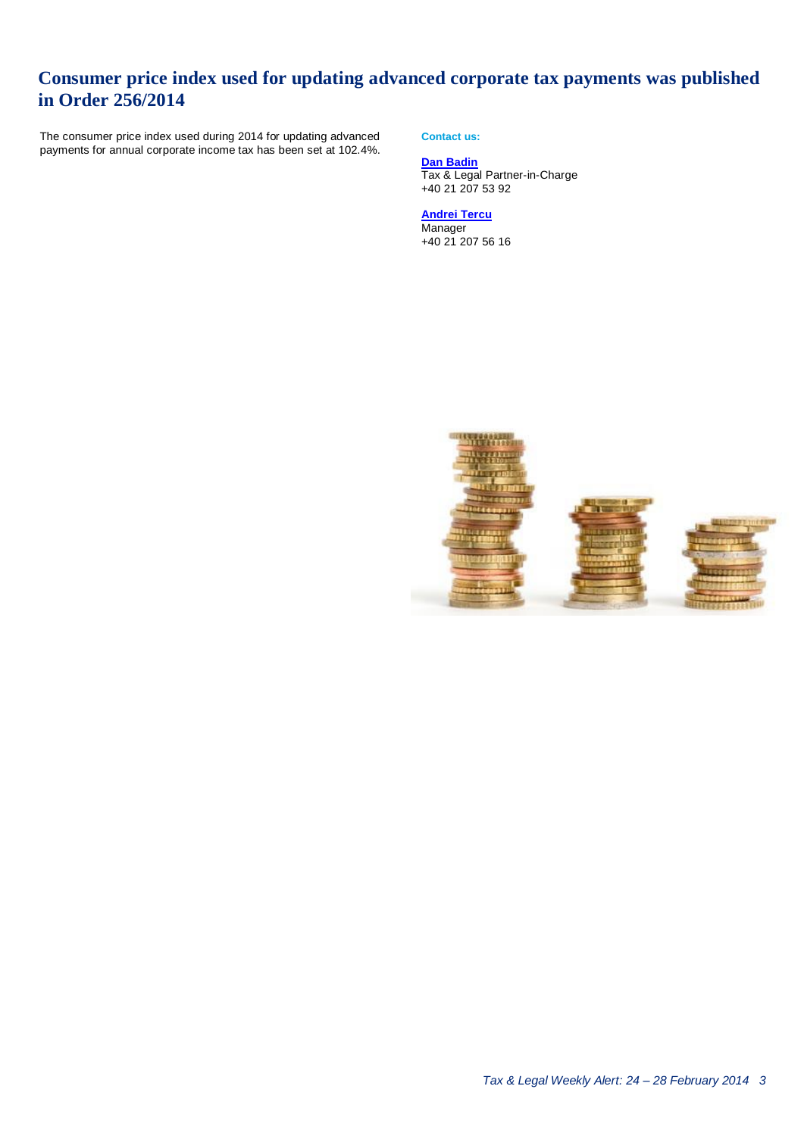## <span id="page-2-0"></span>**Consumer price index used for updating advanced corporate tax payments was published in Order 256/2014**

The consumer price index used during 2014 for updating advanced payments for annual corporate income tax has been set at 102.4%. **Contact us:**

**[Dan Badin](mailto:dbadin@deloittece.com)** Tax & Legal Partner-in-Charge +40 21 207 53 92

**[Andrei Tercu](mailto:atercu@deloittece.com) Manager** +40 21 207 56 16

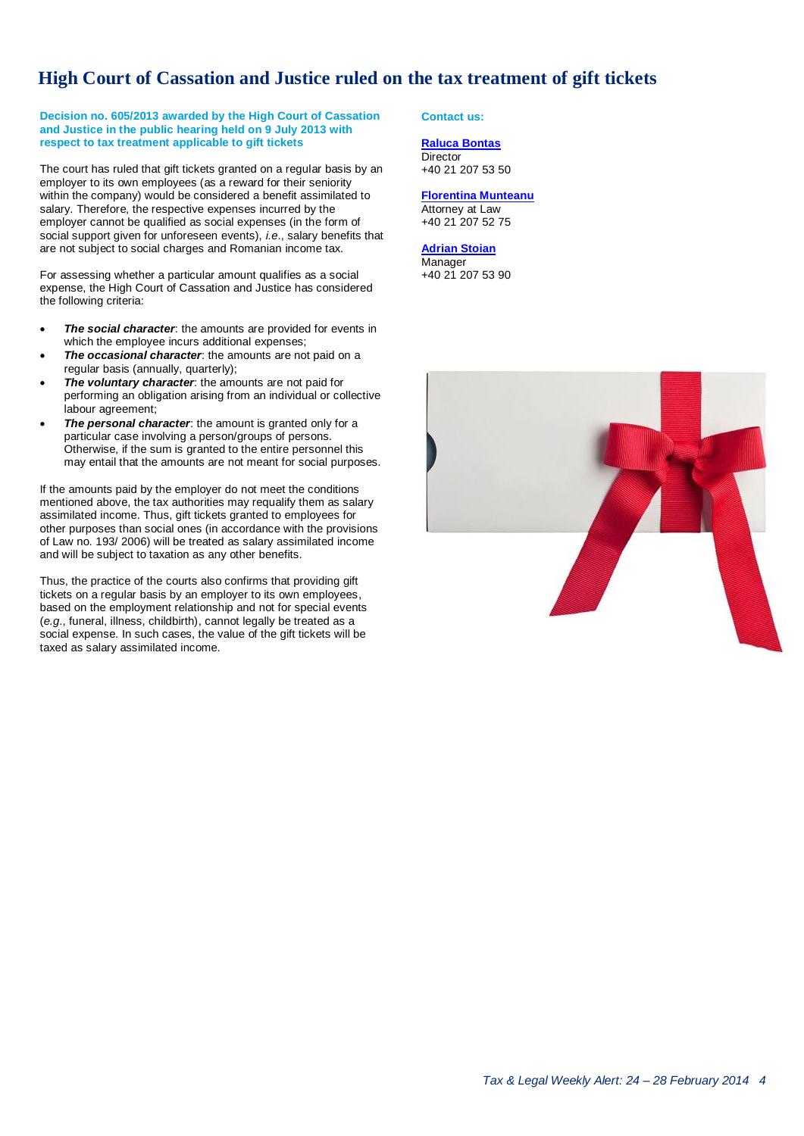## **High Court of Cassation and Justice ruled on the tax treatment of gift tickets**

#### **Decision no. 605/2013 awarded by the High Court of Cassation and Justice in the public hearing held on 9 July 2013 with respect to tax treatment applicable to gift tickets**

The court has ruled that gift tickets granted on a regular basis by an employer to its own employees (as a reward for their seniority within the company) would be considered a benefit assimilated to salary. Therefore, the respective expenses incurred by the employer cannot be qualified as social expenses (in the form of social support given for unforeseen events), *i.e*., salary benefits that are not subject to social charges and Romanian income tax.

For assessing whether a particular amount qualifies as a social expense, the High Court of Cassation and Justice has considered the following criteria:

- *The social character*: the amounts are provided for events in which the employee incurs additional expenses;
- *The occasional character*: the amounts are not paid on a regular basis (annually, quarterly);
- *The voluntary character*: the amounts are not paid for performing an obligation arising from an individual or collective labour agreement;
- *The personal character*: the amount is granted only for a particular case involving a person/groups of persons. Otherwise, if the sum is granted to the entire personnel this may entail that the amounts are not meant for social purposes.

If the amounts paid by the employer do not meet the conditions mentioned above, the tax authorities may requalify them as salary assimilated income. Thus, gift tickets granted to employees for other purposes than social ones (in accordance with the provisions of Law no. 193/ 2006) will be treated as salary assimilated income and will be subject to taxation as any other benefits.

Thus, the practice of the courts also confirms that providing gift tickets on a regular basis by an employer to its own employees, based on the employment relationship and not for special events (*e.g*., funeral, illness, childbirth), cannot legally be treated as a social expense. In such cases, the value of the gift tickets will be taxed as salary assimilated income.

#### <span id="page-3-0"></span>**Contact us:**

#### **[Raluca Bontas](mailto:rbontas@deloittece.com) Director**

+40 21 207 53 50

#### **[Florentina Munteanu](mailto:fmunteanu@deloittece.com)** Attorney at Law +40 21 207 52 75

**[Adrian Stoian](mailto:fstoian@deloittece.com) Manager** +40 21 207 53 90